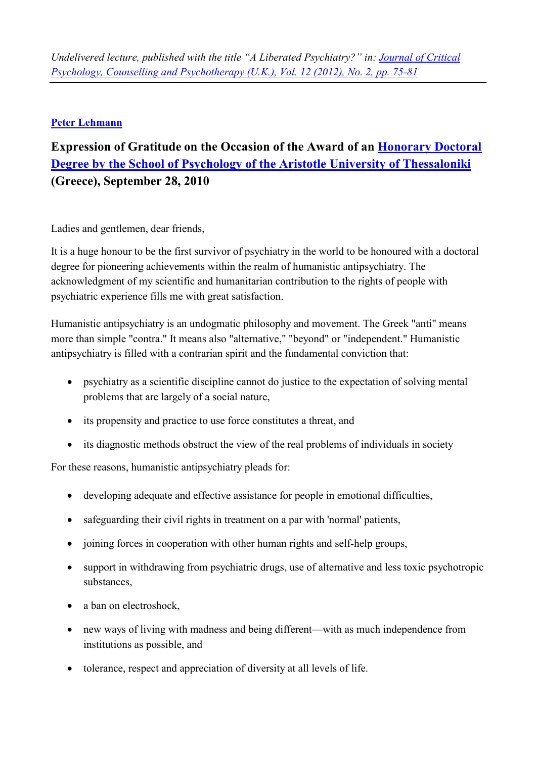## **Peter Lehmann**

## **Expression of Gratitude on the Occasion of the Award of an Honorary Doctoral** Degree by the School of Psychology of the Aristotle University of Thessaloniki (Greece), September 28, 2010

Ladies and gentlemen, dear friends,

It is a huge honour to be the first survivor of psychiatry in the world to be honoured with a doctoral degree for pioneering achievements within the realm of humanistic antipsychiatry. The acknowledgment of my scientific and humanitarian contribution to the rights of people with psychiatric experience fills me with great satisfaction.

Humanistic antipsychiatry is an undogmatic philosophy and movement. The Greek "anti" means more than simple "contra." It means also "alternative," "beyond" or "independent." Humanistic antipsychiatry is filled with a contrarian spirit and the fundamental conviction that:

- psychiatry as a scientific discipline cannot do justice to the expectation of solving mental  $\bullet$ problems that are largely of a social nature,
- its propensity and practice to use force constitutes a threat, and
- its diagnostic methods obstruct the view of the real problems of individuals in society

For these reasons, humanistic antipsychiatry pleads for:

- $\bullet$ developing adequate and effective assistance for people in emotional difficulties,
- safeguarding their civil rights in treatment on a par with 'normal' patients,  $\bullet$
- joining forces in cooperation with other human rights and self-help groups,
- support in withdrawing from psychiatric drugs, use of alternative and less toxic psychotropic  $\bullet$ substances.
- a ban on electroshock,
- new ways of living with madness and being different—with as much independence from institutions as possible, and
- tolerance, respect and appreciation of diversity at all levels of life.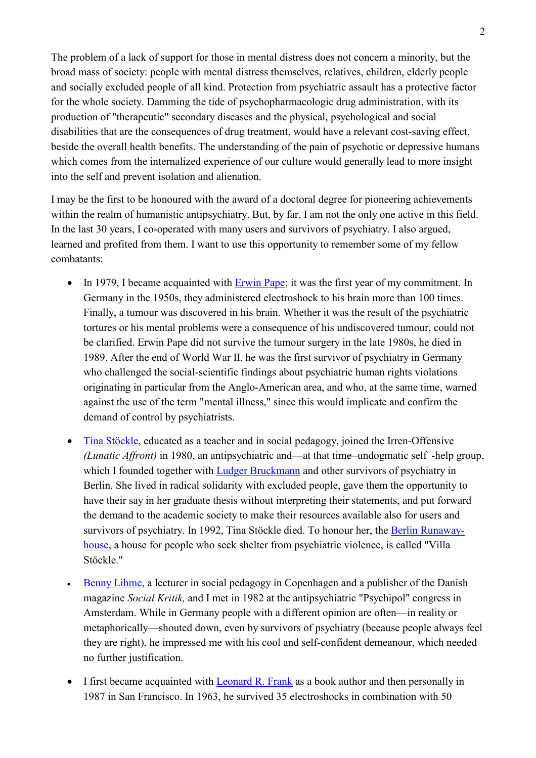The problem of a lack of support for those in mental distress does not concern a minority, but the broad mass of society: people with mental distress themselves, relatives, children, elderly people and socially excluded people of all kind. Protection from psychiatric assault has a protective factor for the whole society. Damming the tide of psychopharmacologic drug administration, with its production of "therapeutic" secondary diseases and the physical, psychological and social disabilities that are the consequences of drug treatment, would have a relevant cost-saving effect, beside the overall health benefits. The understanding of the pain of psychotic or depressive humans which comes from the internalized experience of our culture would generally lead to more insight into the self and prevent isolation and alienation.

I may be the first to be honoured with the award of a doctoral degree for pioneering achievements within the realm of humanistic antipsychiatry. But, by far, I am not the only one active in this field. In the last 30 years, I co-operated with many users and survivors of psychiatry. I also argued, learned and profited from them. I want to use this opportunity to remember some of my fellow combatants:

- In 1979. I became acquainted with Erwin Pape: it was the first year of my commitment. In Germany in the 1950s, they administered electroshock to his brain more than 100 times. Finally, a tumour was discovered in his brain. Whether it was the result of the psychiatric tortures or his mental problems were a consequence of his undiscovered tumour, could not be clarified. Erwin Pape did not survive the tumour surgery in the late 1980s, he died in 1989. After the end of World War II, he was the first survivor of psychiatry in Germany who challenged the social-scientific findings about psychiatric human rights violations originating in particular from the Anglo-American area, and who, at the same time, warned against the use of the term "mental illness," since this would implicate and confirm the demand of control by psychiatrists.
- Tina Stöckle, educated as a teacher and in social pedagogy, joined the Irren-Offensive (Lunatic Affront) in 1980, an antipsychiatric and—at that time—undogmatic self -help group, which I founded together with Ludger Bruckmann and other survivors of psychiatry in Berlin. She lived in radical solidarity with excluded people, gave them the opportunity to have their say in her graduate thesis without interpreting their statements, and put forward the demand to the academic society to make their resources available also for users and survivors of psychiatry. In 1992, Tina Stöckle died. To honour her, the Berlin Runawayhouse, a house for people who seek shelter from psychiatric violence, is called "Villa" Stöckle."
- Benny Lihme, a lecturer in social pedagogy in Copenhagen and a publisher of the Danish  $\bullet$ magazine Social Kritik, and I met in 1982 at the antipsychiatric "Psychipol" congress in Amsterdam. While in Germany people with a different opinion are often—in reality or metaphorically—shouted down, even by survivors of psychiatry (because people always feel they are right), he impressed me with his cool and self-confident demeanour, which needed no further justification.
- I first became acquainted with Leonard R. Frank as a book author and then personally in 1987 in San Francisco. In 1963, he survived 35 electroshocks in combination with 50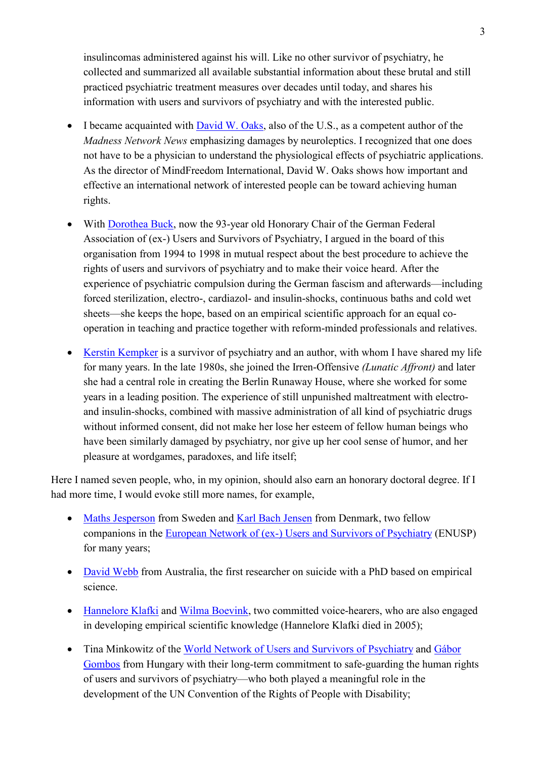insuline omas administered against his will. Like no other survivor of psychiatry, he collected and summarized all available substantial information about these brutal and still practiced psychiatric treatment measures over decades until today, and shares his information with users and survivors of psychiatry and with the interested public.

- I became acquainted with David W. Oaks, also of the U.S., as a competent author of the Madness Network News emphasizing damages by neuroleptics. I recognized that one does not have to be a physician to understand the physiological effects of psychiatric applications. As the director of MindFreedom International, David W. Oaks shows how important and effective an international network of interested people can be toward achieving human rights.
- With Dorothea Buck, now the 93-year old Honorary Chair of the German Federal Association of (ex-) Users and Survivors of Psychiatry, I argued in the board of this organisation from 1994 to 1998 in mutual respect about the best procedure to achieve the rights of users and survivors of psychiatry and to make their voice heard. After the experience of psychiatric compulsion during the German fascism and afterwards—including forced sterilization, electro-, cardiazol- and insulin-shocks, continuous baths and cold wet sheets—she keeps the hope, based on an empirical scientific approach for an equal cooperation in teaching and practice together with reform-minded professionals and relatives.
- Kerstin Kempker is a survivor of psychiatry and an author, with whom I have shared my life for many years. In the late 1980s, she joined the Irren-Offensive (Lunatic Affront) and later she had a central role in creating the Berlin Runaway House, where she worked for some years in a leading position. The experience of still unpunished maltreatment with electroand insulin-shocks, combined with massive administration of all kind of psychiatric drugs without informed consent, did not make her lose her esteem of fellow human beings who have been similarly damaged by psychiatry, nor give up her cool sense of humor, and her pleasure at wordgames, paradoxes, and life itself;

Here I named seven people, who, in my opinion, should also earn an honorary doctoral degree. If I had more time, I would evoke still more names, for example,

- Maths Jesperson from Sweden and Karl Bach Jensen from Denmark, two fellow companions in the European Network of (ex-) Users and Survivors of Psychiatry (ENUSP) for many years;
- David Webb from Australia, the first researcher on suicide with a PhD based on empirical science
- Hannelore Klafki and Wilma Boevink, two committed voice-hearers, who are also engaged in developing empirical scientific knowledge (Hannelore Klafki died in 2005);
- Tina Minkowitz of the World Network of Users and Survivors of Psychiatry and Gábor Gombos from Hungary with their long-term commitment to safe-guarding the human rights of users and survivors of psychiatry—who both played a meaningful role in the development of the UN Convention of the Rights of People with Disability;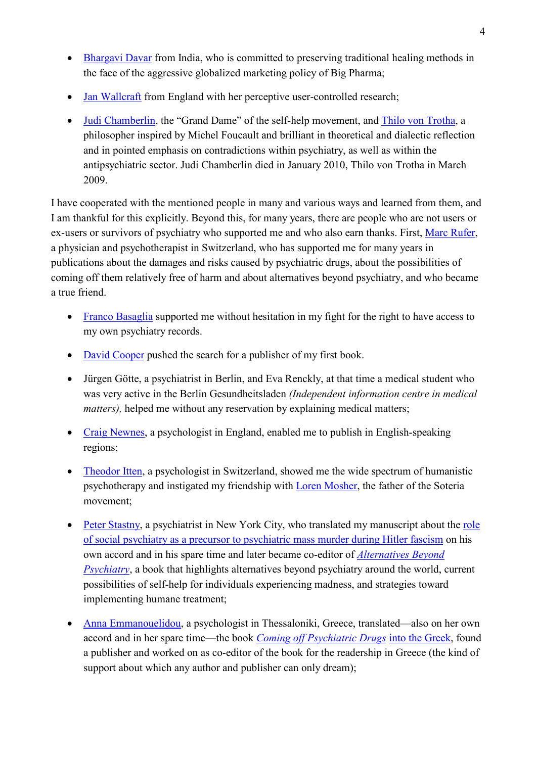- Bhargavi Davar from India, who is committed to preserving traditional healing methods in  $\bullet$ the face of the aggressive globalized marketing policy of Big Pharma;
- Jan Wallcraft from England with her perceptive user-controlled research;  $\bullet$
- Judi Chamberlin, the "Grand Dame" of the self-help movement, and Thilo von Trotha, a philosopher inspired by Michel Foucault and brilliant in theoretical and dialectic reflection and in pointed emphasis on contradictions within psychiatry, as well as within the antipsychiatric sector. Judi Chamberlin died in January 2010, Thilo von Trotha in March 2009.

I have cooperated with the mentioned people in many and various ways and learned from them, and I am thankful for this explicitly. Beyond this, for many years, there are people who are not users or ex-users or survivors of psychiatry who supported me and who also earn thanks. First, Marc Rufer, a physician and psychotherapist in Switzerland, who has supported me for many years in publications about the damages and risks caused by psychiatric drugs, about the possibilities of coming off them relatively free of harm and about alternatives beyond psychiatry, and who became a true friend.

- Franco Basaglia supported me without hesitation in my fight for the right to have access to my own psychiatry records.
- David Cooper pushed the search for a publisher of my first book.
- Jürgen Götte, a psychiatrist in Berlin, and Eva Renckly, at that time a medical student who was very active in the Berlin Gesundheitsladen (Independent information centre in medical *matters*), helped me without any reservation by explaining medical matters;
- Craig Newnes, a psychologist in England, enabled me to publish in English-speaking regions;
- Theodor Itten, a psychologist in Switzerland, showed me the wide spectrum of humanistic psychotherapy and instigated my friendship with Loren Mosher, the father of the Soteria movement:
- Peter Stastny, a psychiatrist in New York City, who translated my manuscript about the role of social psychiatry as a precursor to psychiatric mass murder during Hitler fascism on his own accord and in his spare time and later became co-editor of *Alternatives Beyond Psychiatry*, a book that highlights alternatives beyond psychiatry around the world, current possibilities of self-help for individuals experiencing madness, and strategies toward implementing humane treatment;
- Anna Emmanouelidou, a psychologist in Thessaloniki, Greece, translated—also on her own accord and in her spare time—the book *Coming off Psychiatric Drugs* into the Greek, found a publisher and worked on as co-editor of the book for the readership in Greece (the kind of support about which any author and publisher can only dream);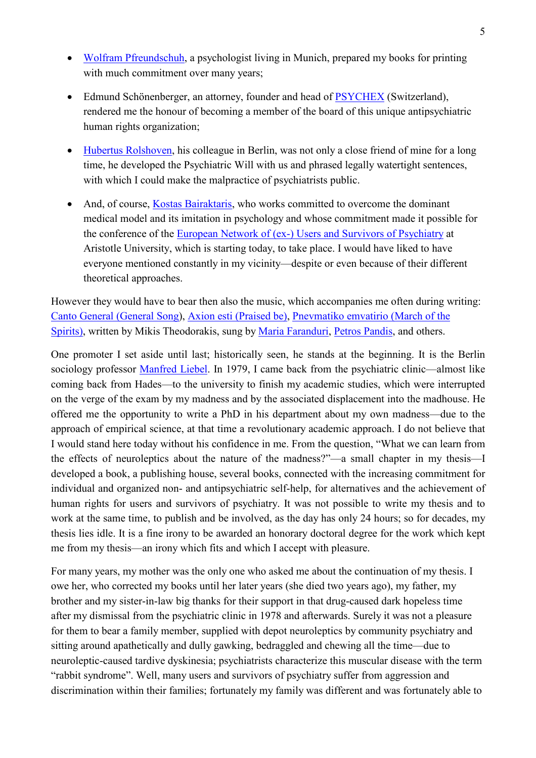- Wolfram Pfreundschuh, a psychologist living in Munich, prepared my books for printing with much commitment over many years:
- Edmund Schönenberger, an attorney, founder and head of PSYCHEX (Switzerland), rendered me the honour of becoming a member of the board of this unique antipsychiatric human rights organization;
- Hubertus Rolshoven, his colleague in Berlin, was not only a close friend of mine for a long time, he developed the Psychiatric Will with us and phrased legally watertight sentences, with which I could make the malpractice of psychiatrists public.
- And, of course, Kostas Bairaktaris, who works committed to overcome the dominant medical model and its imitation in psychology and whose commitment made it possible for the conference of the European Network of (ex-) Users and Survivors of Psychiatry at Aristotle University, which is starting today, to take place. I would have liked to have everyone mentioned constantly in my vicinity—despite or even because of their different theoretical approaches.

However they would have to bear then also the music, which accompanies me often during writing: Canto General (General Song), Axion esti (Praised be), Pnevmatiko emvatirio (March of the Spirits), written by Mikis Theodorakis, sung by Maria Faranduri, Petros Pandis, and others.

One promoter I set aside until last; historically seen, he stands at the beginning. It is the Berlin sociology professor Manfred Liebel. In 1979, I came back from the psychiatric clinic—almost like coming back from Hades—to the university to finish my academic studies, which were interrupted on the verge of the exam by my madness and by the associated displacement into the madhouse. He offered me the opportunity to write a PhD in his department about my own madness—due to the approach of empirical science, at that time a revolutionary academic approach. I do not believe that I would stand here today without his confidence in me. From the question, "What we can learn from the effects of neuroleptics about the nature of the madness?"—a small chapter in my thesis—I developed a book, a publishing house, several books, connected with the increasing commitment for individual and organized non- and antipsychiatric self-help, for alternatives and the achievement of human rights for users and survivors of psychiatry. It was not possible to write my thesis and to work at the same time, to publish and be involved, as the day has only 24 hours; so for decades, my thesis lies idle. It is a fine irony to be awarded an honorary doctoral degree for the work which kept me from my thesis—an irony which fits and which I accept with pleasure.

For many years, my mother was the only one who asked me about the continuation of my thesis. I owe her, who corrected my books until her later years (she died two years ago), my father, my brother and my sister-in-law big thanks for their support in that drug-caused dark hopeless time after my dismissal from the psychiatric clinic in 1978 and afterwards. Surely it was not a pleasure for them to bear a family member, supplied with depot neuroleptics by community psychiatry and sitting around apathetically and dully gawking, bedraggled and chewing all the time—due to neuroleptic-caused tardive dyskinesia; psychiatrists characterize this muscular disease with the term "rabbit syndrome". Well, many users and survivors of psychiatry suffer from aggression and discrimination within their families; fortunately my family was different and was fortunately able to